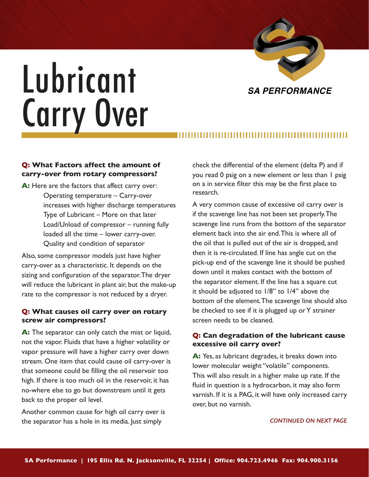

# Lubricant Carry Over

# **Q: What Factors affect the amount of carry-over from rotary compressors?**

**A:** Here are the factors that affect carry over: Operating temperature – Carry-over increases with higher discharge temperatures Type of Lubricant – More on that later Load/Unload of compressor – running fully loaded all the time – lower carry-over. Quality and condition of separator

Also, some compressor models just have higher carry-over as a characteristic. It depends on the sizing and configuration of the separator. The dryer will reduce the lubricant in plant air, but the make-up rate to the compressor is not reduced by a dryer.

# **Q: What causes oil carry over on rotary screw air compressors?**

**A:** The separator can only catch the mist or liquid, not the vapor. Fluids that have a higher volatility or vapor pressure will have a higher carry over down stream. One item that could cause oil carry-over is that someone could be filling the oil reservoir too high. If there is too much oil in the reservoir, it has no-where else to go but downstream until it gets back to the proper oil level.

Another common cause for high oil carry over is the separator has a hole in its media. Just simply

check the differential of the element (delta P) and if you read 0 psig on a new element or less than 1 psig on a in service filter this may be the first place to research.

A very common cause of excessive oil carry over is if the scavenge line has not been set properly. The scavenge line runs from the bottom of the separator element back into the air end. This is where all of the oil that is pulled out of the air is dropped, and then it is re-circulated. If line has angle cut on the pick-up end of the scavenge line it should be pushed down until it makes contact with the bottom of the separator element. If the line has a square cut it should be adjusted to 1/8" to 1/4" above the bottom of the element. The scavenge line should also be checked to see if it is plugged up or Y strainer screen needs to be cleaned.

# **Q: Can degradation of the lubricant cause excessive oil carry over?**

**A:** Yes, as lubricant degrades, it breaks down into lower molecular weight "volatile" components. This will also result in a higher make up rate. If the fluid in question is a hydrocarbon, it may also form varnish. If it is a PAG, it will have only increased carry over, but no varnish.

### *CONTINUED ON NEXT PAGE*